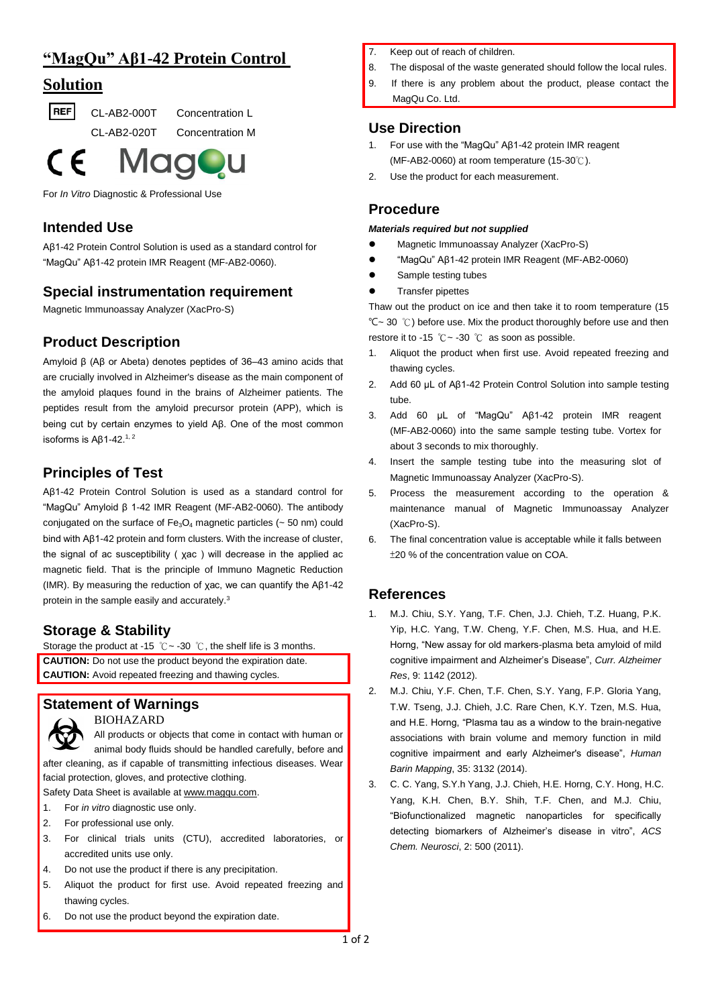# **"MagQu" Aβ1-42 Protein Control**

## **Solution**

**REF** CL-AB2-000T Concentration L

CL-AB2-020T Concentration M



For *In Vitro* Diagnostic & Professional Use

### **Intended Use**

Aβ1-42 Protein Control Solution is used as a standard control for "MagQu" Aβ1-42 protein IMR Reagent (MF-AB2-0060).

#### **Special instrumentation requirement**

Magnetic Immunoassay Analyzer (XacPro-S)

### **Product Description**

Amyloid β (Aβ or Abeta) denotes peptides of 36–43 amino acids that are crucially involved in Alzheimer's disease as the main component of the amyloid plaques found in the brains of Alzheimer patients. The peptides result from the amyloid precursor protein (APP), which is being cut by certain enzymes to yield Aβ. One of the most common isoforms is Aβ1-42.<sup>1, 2</sup>

## **Principles of Test**

Aβ1-42 Protein Control Solution is used as a standard control for "MagQu" Amyloid β 1-42 IMR Reagent (MF-AB2-0060). The antibody conjugated on the surface of  $Fe<sub>3</sub>O<sub>4</sub>$  magnetic particles ( $\sim$  50 nm) could bind with Aβ1-42 protein and form clusters. With the increase of cluster, the signal of ac susceptibility ( χac ) will decrease in the applied ac magnetic field. That is the principle of Immuno Magnetic Reduction (IMR). By measuring the reduction of χac, we can quantify the Aβ1-42 protein in the sample easily and accurately.<sup>3</sup>

#### **Storage & Stability**

Storage the product at -15  $°C \sim$  -30  $°C$ , the shelf life is 3 months. **CAUTION:** Do not use the product beyond the expiration date. **CAUTION:** Avoid repeated freezing and thawing cycles.

#### **Statement of Warnings**

BIOHAZARD

All products or objects that come in contact with human or animal body fluids should be handled carefully, before and after cleaning, as if capable of transmitting infectious diseases. Wear facial protection, gloves, and protective clothing.

Safety Data Sheet is available at [www.magqu.com.](http://www.magqu.com/)

- 1. For *in vitro* diagnostic use only.
- 2. For professional use only.
- 3. For clinical trials units (CTU), accredited laboratories, or accredited units use only.
- 4. Do not use the product if there is any precipitation.
- 5. Aliquot the product for first use. Avoid repeated freezing and thawing cycles.
- 6. Do not use the product beyond the expiration date.
- 7. Keep out of reach of children.
- 8. The disposal of the waste generated should follow the local rules.
- 9. If there is any problem about the product, please contact the MagQu Co. Ltd.

#### **Use Direction**

- 1. For use with the "MagQu" Aβ1-42 protein IMR reagent (MF-AB2-0060) at room temperature (15-30℃).
- 2. Use the product for each measurement.

#### **Procedure**

*Materials required but not supplied*

- Magnetic Immunoassay Analyzer (XacPro-S)
- "MagQu" Aβ1-42 protein IMR Reagent (MF-AB2-0060)
- Sample testing tubes
- Transfer pipettes

Thaw out the product on ice and then take it to room temperature (15 ℃~ 30 ℃) before use. Mix the product thoroughly before use and then restore it to -15 ℃~ -30 ℃ as soon as possible.

- 1. Aliquot the product when first use. Avoid repeated freezing and thawing cycles.
- 2. Add 60 μL of Aβ1-42 Protein Control Solution into sample testing tube.
- 3. Add 60 μL of "MagQu" Aβ1-42 protein IMR reagent (MF-AB2-0060) into the same sample testing tube. Vortex for about 3 seconds to mix thoroughly.
- 4. Insert the sample testing tube into the measuring slot of Magnetic Immunoassay Analyzer (XacPro-S).
- 5. Process the measurement according to the operation & maintenance manual of Magnetic Immunoassay Analyzer (XacPro-S).
- 6. The final concentration value is acceptable while it falls between ±20 % of the concentration value on COA.

### **References**

- 1. M.J. Chiu, S.Y. Yang, T.F. Chen, J.J. Chieh, T.Z. Huang, P.K. Yip, H.C. Yang, T.W. Cheng, Y.F. Chen, M.S. Hua, and H.E. Horng, "New assay for old markers-plasma beta amyloid of mild cognitive impairment and Alzheimer's Disease", *Curr. Alzheimer Res*, 9: 1142 (2012).
- 2. M.J. Chiu, Y.F. Chen, T.F. Chen, S.Y. Yang, F.P. Gloria Yang, T.W. Tseng, J.J. Chieh, J.C. Rare Chen, K.Y. Tzen, M.S. Hua, and H.E. Horng, "Plasma tau as a window to the brain-negative associations with brain volume and memory function in mild cognitive impairment and early Alzheimer's disease", *Human Barin Mapping*, 35: 3132 (2014).
- 3. C. C. Yang, S.Y.h Yang, J.J. Chieh, H.E. Horng, C.Y. Hong, H.C. Yang, K.H. Chen, B.Y. Shih, T.F. Chen, and M.J. Chiu, "Biofunctionalized magnetic nanoparticles for specifically detecting biomarkers of Alzheimer's disease in vitro", *ACS Chem. Neurosci*, 2: 500 (2011).